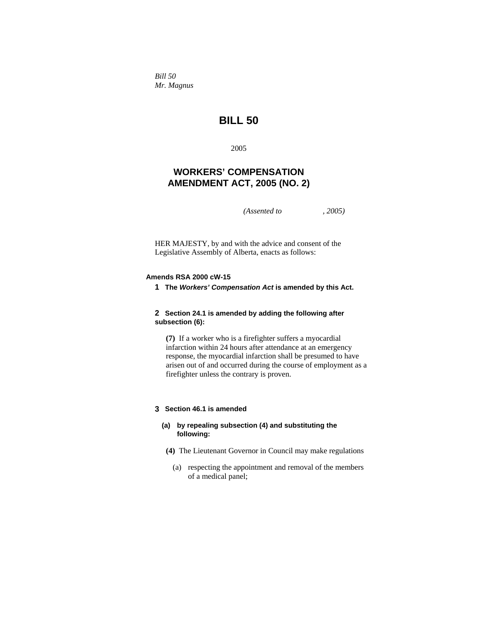*Bill 50 Mr. Magnus* 

# **BILL 50**

2005

## **WORKERS' COMPENSATION AMENDMENT ACT, 2005 (NO. 2)**

*(Assented to , 2005)* 

HER MAJESTY, by and with the advice and consent of the Legislative Assembly of Alberta, enacts as follows:

### **Amends RSA 2000 cW-15**

**1 The** *Workers' Compensation Act* **is amended by this Act.** 

## **2 Section 24.1 is amended by adding the following after subsection (6):**

**(7)** If a worker who is a firefighter suffers a myocardial infarction within 24 hours after attendance at an emergency response, the myocardial infarction shall be presumed to have arisen out of and occurred during the course of employment as a firefighter unless the contrary is proven.

## **3 Section 46.1 is amended**

## **(a) by repealing subsection (4) and substituting the following:**

- **(4)** The Lieutenant Governor in Council may make regulations
	- (a) respecting the appointment and removal of the members of a medical panel;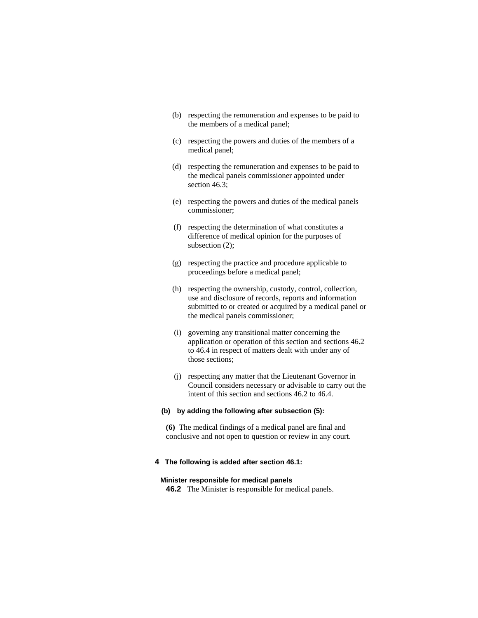- (b) respecting the remuneration and expenses to be paid to the members of a medical panel;
- (c) respecting the powers and duties of the members of a medical panel;
- (d) respecting the remuneration and expenses to be paid to the medical panels commissioner appointed under section 46.3;
- (e) respecting the powers and duties of the medical panels commissioner;
- (f) respecting the determination of what constitutes a difference of medical opinion for the purposes of subsection (2);
- (g) respecting the practice and procedure applicable to proceedings before a medical panel;
- (h) respecting the ownership, custody, control, collection, use and disclosure of records, reports and information submitted to or created or acquired by a medical panel or the medical panels commissioner;
- (i) governing any transitional matter concerning the application or operation of this section and sections 46.2 to 46.4 in respect of matters dealt with under any of those sections;
- (j) respecting any matter that the Lieutenant Governor in Council considers necessary or advisable to carry out the intent of this section and sections 46.2 to 46.4.

#### **(b) by adding the following after subsection (5):**

**(6)** The medical findings of a medical panel are final and conclusive and not open to question or review in any court.

### **4 The following is added after section 46.1:**

### **Minister responsible for medical panels**

**46.2** The Minister is responsible for medical panels.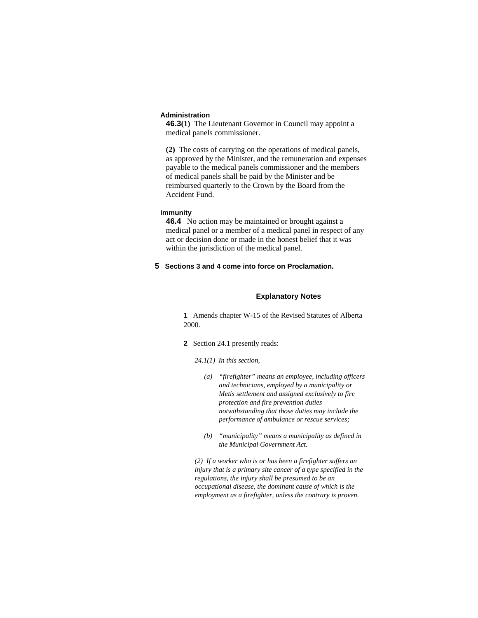#### **Administration**

**46.3(1)** The Lieutenant Governor in Council may appoint a medical panels commissioner.

**(2)** The costs of carrying on the operations of medical panels, as approved by the Minister, and the remuneration and expenses payable to the medical panels commissioner and the members of medical panels shall be paid by the Minister and be reimbursed quarterly to the Crown by the Board from the Accident Fund.

#### **Immunity**

**46.4** No action may be maintained or brought against a medical panel or a member of a medical panel in respect of any act or decision done or made in the honest belief that it was within the jurisdiction of the medical panel.

## **5 Sections 3 and 4 come into force on Proclamation.**

#### **Explanatory Notes**

**1** Amends chapter W-15 of the Revised Statutes of Alberta 2000.

**2** Section 24.1 presently reads:

*24.1(1) In this section,* 

- *(a) "firefighter" means an employee, including officers and technicians, employed by a municipality or Metis settlement and assigned exclusively to fire protection and fire prevention duties notwithstanding that those duties may include the performance of ambulance or rescue services;*
- *(b) "municipality" means a municipality as defined in the Municipal Government Act.*

*(2) If a worker who is or has been a firefighter suffers an injury that is a primary site cancer of a type specified in the regulations, the injury shall be presumed to be an occupational disease, the dominant cause of which is the employment as a firefighter, unless the contrary is proven.*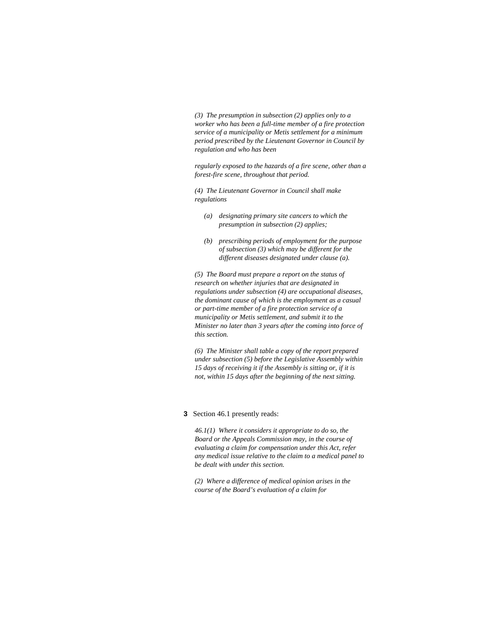*(3) The presumption in subsection (2) applies only to a worker who has been a full-time member of a fire protection service of a municipality or Metis settlement for a minimum period prescribed by the Lieutenant Governor in Council by regulation and who has been* 

*regularly exposed to the hazards of a fire scene, other than a forest-fire scene, throughout that period.* 

*(4) The Lieutenant Governor in Council shall make regulations* 

- *(a) designating primary site cancers to which the presumption in subsection (2) applies;*
- *(b) prescribing periods of employment for the purpose of subsection (3) which may be different for the different diseases designated under clause (a).*

*(5) The Board must prepare a report on the status of research on whether injuries that are designated in regulations under subsection (4) are occupational diseases, the dominant cause of which is the employment as a casual or part-time member of a fire protection service of a municipality or Metis settlement, and submit it to the Minister no later than 3 years after the coming into force of this section.* 

*(6) The Minister shall table a copy of the report prepared under subsection (5) before the Legislative Assembly within 15 days of receiving it if the Assembly is sitting or, if it is not, within 15 days after the beginning of the next sitting.* 

#### **3** Section 46.1 presently reads:

*46.1(1) Where it considers it appropriate to do so, the Board or the Appeals Commission may, in the course of evaluating a claim for compensation under this Act, refer any medical issue relative to the claim to a medical panel to be dealt with under this section.* 

*(2) Where a difference of medical opinion arises in the course of the Board's evaluation of a claim for*